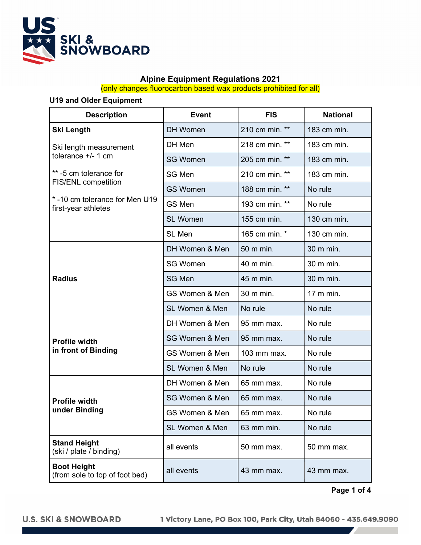

# **Alpine Equipment Regulations 2021**

(only changes fluorocarbon based wax products prohibited for all)

# **U19 and Older Equipment**

| <b>Description</b>                                   | <b>Event</b>              | <b>FIS</b>     | <b>National</b> |
|------------------------------------------------------|---------------------------|----------------|-----------------|
| <b>Ski Length</b>                                    | <b>DH</b> Women           | 210 cm min. ** | 183 cm min.     |
| Ski length measurement<br>tolerance $+/- 1$ cm       | DH Men                    | 218 cm min. ** | 183 cm min.     |
|                                                      | <b>SG Women</b>           | 205 cm min. ** | 183 cm min.     |
| ** -5 cm tolerance for<br><b>FIS/ENL competition</b> | SG Men                    | 210 cm min. ** | 183 cm min.     |
|                                                      | <b>GS Women</b>           | 188 cm min. ** | No rule         |
| *-10 cm tolerance for Men U19<br>first-year athletes | GS Men                    | 193 cm min. ** | No rule         |
|                                                      | <b>SL Women</b>           | 155 cm min.    | 130 cm min.     |
|                                                      | SL Men                    | 165 cm min. *  | 130 cm min.     |
| <b>Radius</b>                                        | DH Women & Men            | 50 m min.      | 30 m min.       |
|                                                      | <b>SG Women</b>           | 40 m min.      | 30 m min.       |
|                                                      | <b>SG Men</b>             | 45 m min.      | 30 m min.       |
|                                                      | <b>GS Women &amp; Men</b> | 30 m min.      | 17 m min.       |
|                                                      | SL Women & Men            | No rule        | No rule         |
| <b>Profile width</b><br>in front of Binding          | DH Women & Men            | 95 mm max.     | No rule         |
|                                                      | <b>SG Women &amp; Men</b> | 95 mm max.     | No rule         |
|                                                      | GS Women & Men            | 103 mm max.    | No rule         |
|                                                      | SL Women & Men            | No rule        | No rule         |
| <b>Profile width</b><br>under Binding                | DH Women & Men            | 65 mm max.     | No rule         |
|                                                      | SG Women & Men            | 65 mm max.     | No rule         |
|                                                      | GS Women & Men            | 65 mm max.     | No rule         |
|                                                      | SL Women & Men            | 63 mm min.     | No rule         |
| <b>Stand Height</b><br>(ski / plate / binding)       | all events                | 50 mm max.     | 50 mm max.      |
| <b>Boot Height</b><br>(from sole to top of foot bed) | all events                | 43 mm max.     | 43 mm max.      |

**Page 1 of 4**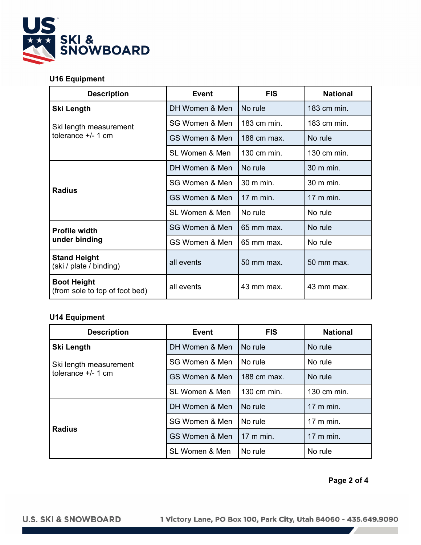

| <b>Description</b>                                                  | <b>Event</b>   | <b>FIS</b>              | <b>National</b> |
|---------------------------------------------------------------------|----------------|-------------------------|-----------------|
| <b>Ski Length</b><br>Ski length measurement<br>tolerance $+/- 1$ cm | DH Women & Men | No rule                 | $183$ cm min.   |
|                                                                     | SG Women & Men | 183 cm min.             | 183 cm min.     |
|                                                                     | GS Women & Men | 188 cm max.             | No rule         |
|                                                                     | SL Women & Men | 130 cm min.             | 130 cm min.     |
| <b>Radius</b>                                                       | DH Women & Men | No rule                 | 30 m min.       |
|                                                                     | SG Women & Men | 30 m min.               | 30 m min.       |
|                                                                     | GS Women & Men | $17 \text{ m}$ min.     | 17 m min.       |
|                                                                     | SL Women & Men | No rule                 | No rule         |
| <b>Profile width</b><br>under binding                               | SG Women & Men | $65 \,\mathrm{mm}$ max. | No rule         |
|                                                                     | GS Women & Men | 65 mm max.              | No rule         |
| <b>Stand Height</b><br>(ski / plate / binding)                      | all events     | 50 mm max.              | 50 mm max.      |
| <b>Boot Height</b><br>(from sole to top of foot bed)                | all events     | 43 mm max.              | 43 mm max.      |

## **U14 Equipment**

| <b>Description</b>                                                  | <b>Event</b>   | <b>FIS</b>          | <b>National</b>     |
|---------------------------------------------------------------------|----------------|---------------------|---------------------|
| <b>Ski Length</b><br>Ski length measurement<br>tolerance $+/- 1$ cm | DH Women & Men | No rule             | No rule             |
|                                                                     | SG Women & Men | No rule             | No rule             |
|                                                                     | GS Women & Men | $188$ cm max.       | No rule             |
|                                                                     | SL Women & Men | 130 cm min.         | $130$ cm min.       |
| <b>Radius</b>                                                       | DH Women & Men | No rule             | $17 \text{ m}$ min. |
|                                                                     | SG Women & Men | No rule             | $17 \text{ m}$ min. |
|                                                                     | GS Women & Men | $17 \text{ m}$ min. | $17 \text{ m}$ min. |
|                                                                     | SL Women & Men | No rule             | No rule             |

# **Page 2 of 4**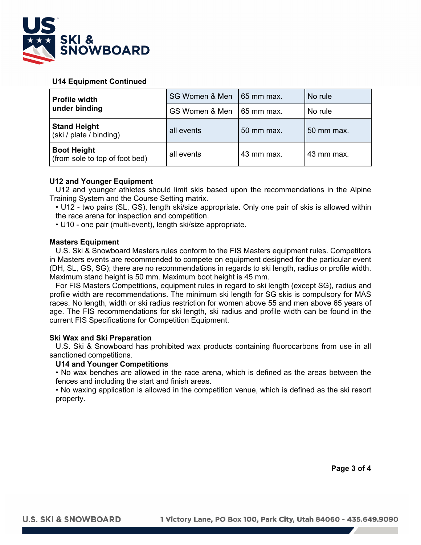

## **U14 Equipment Continued**

| <b>Profile width</b><br>under binding                | SG Women & Men | 65 mm max. | No rule    |
|------------------------------------------------------|----------------|------------|------------|
|                                                      | GS Women & Men | 65 mm max. | No rule    |
| <b>Stand Height</b><br>(ski / plate / binding)       | all events     | 50 mm max. | 50 mm max. |
| <b>Boot Height</b><br>(from sole to top of foot bed) | all events     | 43 mm max. | 43 mm max. |

## **U12 and Younger Equipment**

 U12 and younger athletes should limit skis based upon the recommendations in the Alpine Training System and the Course Setting matrix.

 • U12 - two pairs (SL, GS), length ski/size appropriate. Only one pair of skis is allowed within the race arena for inspection and competition.

• U10 - one pair (multi-event), length ski/size appropriate.

## **Masters Equipment**

 U.S. Ski & Snowboard Masters rules conform to the FIS Masters equipment rules. Competitors in Masters events are recommended to compete on equipment designed for the particular event (DH, SL, GS, SG); there are no recommendations in regards to ski length, radius or profile width. Maximum stand height is 50 mm. Maximum boot height is 45 mm.

 For FIS Masters Competitions, equipment rules in regard to ski length (except SG), radius and profile width are recommendations. The minimum ski length for SG skis is compulsory for MAS races. No length, width or ski radius restriction for women above 55 and men above 65 years of age. The FIS recommendations for ski length, ski radius and profile width can be found in the current FIS Specifications for Competition Equipment.

## **Ski Wax and Ski Preparation**

 U.S. Ski & Snowboard has prohibited wax products containing fluorocarbons from use in all sanctioned competitions.

## **U14 and Younger Competitions**

 • No wax benches are allowed in the race arena, which is defined as the areas between the fences and including the start and finish areas.

 • No waxing application is allowed in the competition venue, which is defined as the ski resort property.

**Page 3 of 4**